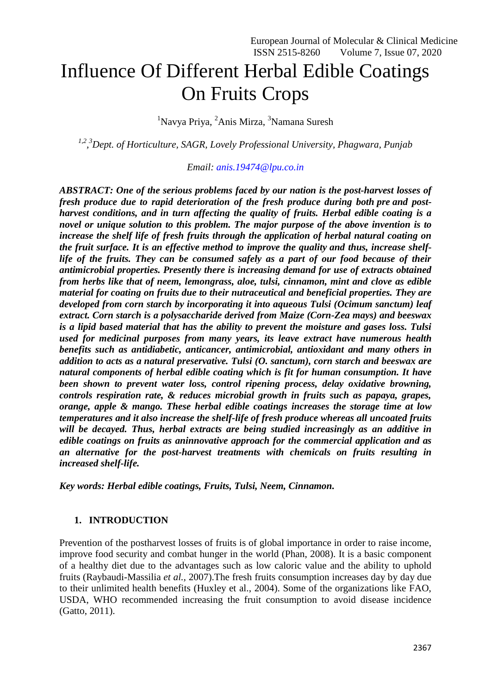# Influence Of Different Herbal Edible Coatings On Fruits Crops

<sup>1</sup>Navya Priya, <sup>2</sup>Anis Mirza, <sup>3</sup>Namana Suresh

*1,2 , <sup>3</sup>Dept. of Horticulture, SAGR, Lovely Professional University, Phagwara, Punjab*

*Email: [anis.19474@lpu.co.in](mailto:anis.19474@lpu.co.in)*

*ABSTRACT: One of the serious problems faced by our nation is the post-harvest losses of fresh produce due to rapid deterioration of the fresh produce during both pre and postharvest conditions, and in turn affecting the quality of fruits. Herbal edible coating is a novel or unique solution to this problem. The major purpose of the above invention is to increase the shelf life of fresh fruits through the application of herbal natural coating on the fruit surface. It is an effective method to improve the quality and thus, increase shelflife of the fruits. They can be consumed safely as a part of our food because of their antimicrobial properties. Presently there is increasing demand for use of extracts obtained from herbs like that of neem, lemongrass, aloe, tulsi, cinnamon, mint and clove as edible material for coating on fruits due to their nutraceutical and beneficial properties. They are developed from corn starch by incorporating it into aqueous Tulsi (Ocimum sanctum) leaf extract. Corn starch is a polysaccharide derived from Maize (Corn-Zea mays) and beeswax is a lipid based material that has the ability to prevent the moisture and gases loss. Tulsi used for medicinal purposes from many years, its leave extract have numerous health benefits such as antidiabetic, anticancer, antimicrobial, antioxidant and many others in addition to acts as a natural preservative. Tulsi (O. sanctum), corn starch and beeswax are natural components of herbal edible coating which is fit for human consumption. It have been shown to prevent water loss, control ripening process, delay oxidative browning, controls respiration rate, & reduces microbial growth in fruits such as papaya, grapes, orange, apple & mango. These herbal edible coatings increases the storage time at low temperatures and it also increase the shelf-life of fresh produce whereas all uncoated fruits will be decayed. Thus, herbal extracts are being studied increasingly as an additive in edible coatings on fruits as aninnovative approach for the commercial application and as an alternative for the post-harvest treatments with chemicals on fruits resulting in increased shelf-life.*

*Key words: Herbal edible coatings, Fruits, Tulsi, Neem, Cinnamon.*

# **1. INTRODUCTION**

Prevention of the postharvest losses of fruits is of global importance in order to raise income, improve food security and combat hunger in the world (Phan, 2008). It is a basic component of a healthy diet due to the advantages such as low caloric value and the ability to uphold fruits (Raybaudi-Massilia *et al.,* 2007).The fresh fruits consumption increases day by day due to their unlimited health benefits (Huxley et al., 2004). Some of the organizations like FAO, USDA, WHO recommended increasing the fruit consumption to avoid disease incidence (Gatto, 2011).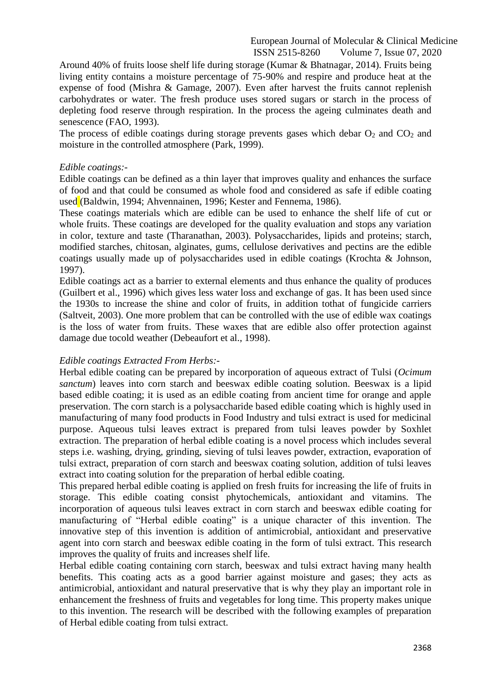Around 40% of fruits loose shelf life during storage (Kumar & Bhatnagar, 2014). Fruits being living entity contains a moisture percentage of 75-90% and respire and produce heat at the expense of food (Mishra & Gamage, 2007). Even after harvest the fruits cannot replenish carbohydrates or water. The fresh produce uses stored sugars or starch in the process of depleting food reserve through respiration. In the process the ageing culminates death and senescence (FAO, 1993).

The process of edible coatings during storage prevents gases which debar  $O_2$  and  $CO_2$  and moisture in the controlled atmosphere (Park, 1999).

### *Edible coatings:-*

Edible coatings can be defined as a thin layer that improves quality and enhances the surface of food and that could be consumed as whole food and considered as safe if edible coating used (Baldwin, 1994; Ahvennainen, 1996; Kester and Fennema, 1986).

These coatings materials which are edible can be used to enhance the shelf life of cut or whole fruits. These coatings are developed for the quality evaluation and stops any variation in color, texture and taste (Tharanathan, 2003). Polysaccharides, lipids and proteins; starch, modified starches, chitosan, alginates, gums, cellulose derivatives and pectins are the edible coatings usually made up of polysaccharides used in edible coatings (Krochta & Johnson, 1997).

Edible coatings act as a barrier to external elements and thus enhance the quality of produces (Guilbert et al., 1996) which gives less water loss and exchange of gas. It has been used since the 1930s to increase the shine and color of fruits, in addition tothat of fungicide carriers (Saltveit, 2003). One more problem that can be controlled with the use of edible wax coatings is the loss of water from fruits. These waxes that are edible also offer protection against damage due tocold weather (Debeaufort et al., 1998).

# *Edible coatings Extracted From Herbs:-*

Herbal edible coating can be prepared by incorporation of aqueous extract of Tulsi (*Ocimum sanctum*) leaves into corn starch and beeswax edible coating solution. Beeswax is a lipid based edible coating; it is used as an edible coating from ancient time for orange and apple preservation. The corn starch is a polysaccharide based edible coating which is highly used in manufacturing of many food products in Food Industry and tulsi extract is used for medicinal purpose. Aqueous tulsi leaves extract is prepared from tulsi leaves powder by Soxhlet extraction. The preparation of herbal edible coating is a novel process which includes several steps i.e. washing, drying, grinding, sieving of tulsi leaves powder, extraction, evaporation of tulsi extract, preparation of corn starch and beeswax coating solution, addition of tulsi leaves extract into coating solution for the preparation of herbal edible coating.

This prepared herbal edible coating is applied on fresh fruits for increasing the life of fruits in storage. This edible coating consist phytochemicals, antioxidant and vitamins. The incorporation of aqueous tulsi leaves extract in corn starch and beeswax edible coating for manufacturing of "Herbal edible coating" is a unique character of this invention. The innovative step of this invention is addition of antimicrobial, antioxidant and preservative agent into corn starch and beeswax edible coating in the form of tulsi extract. This research improves the quality of fruits and increases shelf life.

Herbal edible coating containing corn starch, beeswax and tulsi extract having many health benefits. This coating acts as a good barrier against moisture and gases; they acts as antimicrobial, antioxidant and natural preservative that is why they play an important role in enhancement the freshness of fruits and vegetables for long time. This property makes unique to this invention. The research will be described with the following examples of preparation of Herbal edible coating from tulsi extract.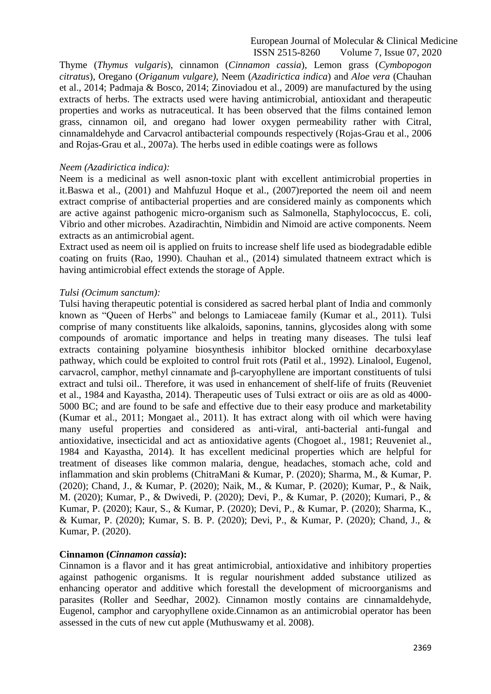Thyme (*Thymus vulgaris*), cinnamon (*Cinnamon cassia*), Lemon grass (*Cymbopogon citratus*), Oregano (*Origanum vulgare),* Neem (*Azadirictica indica*) and *Aloe vera* (Chauhan et al., 2014; Padmaja & Bosco, 2014; Zinoviadou et al., 2009) are manufactured by the using extracts of herbs. The extracts used were having antimicrobial, antioxidant and therapeutic properties and works as nutraceutical. It has been observed that the films contained lemon grass, cinnamon oil, and oregano had lower oxygen permeability rather with Citral, cinnamaldehyde and Carvacrol antibacterial compounds respectively (Rojas-Grau et al., 2006 and Rojas-Grau et al., 2007a). The herbs used in edible coatings were as follows

### *Neem (Azadirictica indica):*

Neem is a medicinal as well asnon-toxic plant with excellent antimicrobial properties in it.Baswa et al., (2001) and Mahfuzul Hoque et al., (2007)reported the neem oil and neem extract comprise of antibacterial properties and are considered mainly as components which are active against pathogenic micro-organism such as Salmonella, Staphylococcus, E. coli, Vibrio and other microbes. Azadirachtin, Nimbidin and Nimoid are active components. Neem extracts as an antimicrobial agent.

Extract used as neem oil is applied on fruits to increase shelf life used as biodegradable edible coating on fruits (Rao, 1990). Chauhan et al., (2014) simulated thatneem extract which is having antimicrobial effect extends the storage of Apple.

## *Tulsi (Ocimum sanctum):*

Tulsi having therapeutic potential is considered as sacred herbal plant of India and commonly known as "Queen of Herbs" and belongs to Lamiaceae family (Kumar et al., 2011). Tulsi comprise of many constituents like alkaloids, saponins, tannins, glycosides along with some compounds of aromatic importance and helps in treating many diseases. The tulsi leaf extracts containing polyamine biosynthesis inhibitor blocked ornithine decarboxylase pathway, which could be exploited to control fruit rots (Patil et al., 1992). Linalool, Eugenol, carvacrol, camphor, methyl cinnamate and β-caryophyllene are important constituents of tulsi extract and tulsi oil.. Therefore, it was used in enhancement of shelf-life of fruits (Reuveniet et al., 1984 and Kayastha, 2014). Therapeutic uses of Tulsi extract or oiis are as old as 4000- 5000 BC; and are found to be safe and effective due to their easy produce and marketability (Kumar et al., 2011; Mongaet al., 2011). It has extract along with oil which were having many useful properties and considered as anti-viral, anti-bacterial anti-fungal and antioxidative, insecticidal and act as antioxidative agents (Chogoet al., 1981; Reuveniet al., 1984 and Kayastha, 2014). It has excellent medicinal properties which are helpful for treatment of diseases like common malaria, dengue, headaches, stomach ache, cold and inflammation and skin problems (ChitraMani & Kumar, P. (2020); Sharma, M., & Kumar, P. (2020); Chand, J., & Kumar, P. (2020); Naik, M., & Kumar, P. (2020); Kumar, P., & Naik, M. (2020); Kumar, P., & Dwivedi, P. (2020); Devi, P., & Kumar, P. (2020); Kumari, P., & Kumar, P. (2020); Kaur, S., & Kumar, P. (2020); Devi, P., & Kumar, P. (2020); Sharma, K., & Kumar, P. (2020); Kumar, S. B. P. (2020); Devi, P., & Kumar, P. (2020); Chand, J., & Kumar, P. (2020).

# **Cinnamon (***Cinnamon cassia***):**

Cinnamon is a flavor and it has great antimicrobial, antioxidative and inhibitory properties against pathogenic organisms. It is regular nourishment added substance utilized as enhancing operator and additive which forestall the development of microorganisms and parasites (Roller and Seedhar, 2002). Cinnamon mostly contains are cinnamaldehyde, Eugenol, camphor and caryophyllene oxide.Cinnamon as an antimicrobial operator has been assessed in the cuts of new cut apple (Muthuswamy et al. 2008).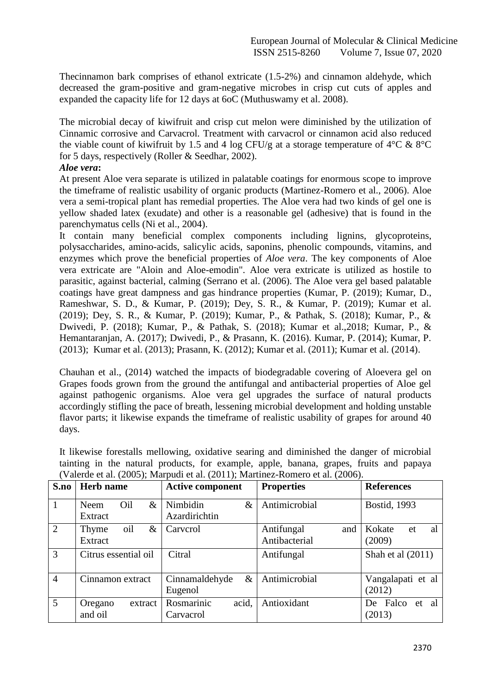Thecinnamon bark comprises of ethanol extricate (1.5-2%) and cinnamon aldehyde, which decreased the gram-positive and gram-negative microbes in crisp cut cuts of apples and expanded the capacity life for 12 days at 6oC (Muthuswamy et al. 2008).

The microbial decay of kiwifruit and crisp cut melon were diminished by the utilization of Cinnamic corrosive and Carvacrol. Treatment with carvacrol or cinnamon acid also reduced the viable count of kiwifruit by 1.5 and 4 log CFU/g at a storage temperature of  $4^{\circ}$ C &  $8^{\circ}$ C for 5 days, respectively (Roller & Seedhar, 2002).

# *Aloe vera***:**

At present Aloe vera separate is utilized in palatable coatings for enormous scope to improve the timeframe of realistic usability of organic products (Martinez-Romero et al., 2006). Aloe vera a semi-tropical plant has remedial properties. The Aloe vera had two kinds of gel one is yellow shaded latex (exudate) and other is a reasonable gel (adhesive) that is found in the parenchymatus cells (Ni et al., 2004).

It contain many beneficial complex components including lignins, glycoproteins, polysaccharides, amino-acids, salicylic acids, saponins, phenolic compounds, vitamins, and enzymes which prove the beneficial properties of *Aloe vera*. The key components of Aloe vera extricate are "Aloin and Aloe-emodin". Aloe vera extricate is utilized as hostile to parasitic, against bacterial, calming (Serrano et al. (2006). The Aloe vera gel based palatable coatings have great dampness and gas hindrance properties (Kumar, P. (2019); Kumar, D., Rameshwar, S. D., & Kumar, P. (2019); Dey, S. R., & Kumar, P. (2019); Kumar et al. (2019); Dey, S. R., & Kumar, P. (2019); Kumar, P., & Pathak, S. (2018); Kumar, P., & Dwivedi, P. (2018); Kumar, P., & Pathak, S. (2018); Kumar et al.,2018; Kumar, P., & Hemantaranjan, A. (2017); Dwivedi, P., & Prasann, K. (2016). Kumar, P. (2014); Kumar, P. (2013); Kumar et al. (2013); Prasann, K. (2012); Kumar et al. (2011); Kumar et al. (2014).

Chauhan et al., (2014) watched the impacts of biodegradable covering of Aloevera gel on Grapes foods grown from the ground the antifungal and antibacterial properties of Aloe gel against pathogenic organisms. Aloe vera gel upgrades the surface of natural products accordingly stifling the pace of breath, lessening microbial development and holding unstable flavor parts; it likewise expands the timeframe of realistic usability of grapes for around 40 days.

| S.no           | Herb name                       | <b>Active component</b>           | <b>Properties</b>                  | <b>References</b>            |  |
|----------------|---------------------------------|-----------------------------------|------------------------------------|------------------------------|--|
| $\mathbf{1}$   | $\&$<br>Oil<br>Neem<br>Extract  | Nimbidin<br>$\&$<br>Azardirichtin | Antimicrobial                      | <b>Bostid, 1993</b>          |  |
| $\overline{2}$ | oil<br>$\&$<br>Thyme<br>Extract | Carverol                          | Antifungal<br>and<br>Antibacterial | Kokate<br>et<br>al<br>(2009) |  |
| 3              | Citrus essential oil            | Citral                            | Antifungal                         | Shah et al $(2011)$          |  |
| $\overline{4}$ | Cinnamon extract                | Cinnamaldehyde<br>$\&$<br>Eugenol | Antimicrobial                      | Vangalapati et al<br>(2012)  |  |
| 5              | Oregano<br>extract<br>and oil   | Rosmarinic<br>acid,<br>Carvacrol  | Antioxidant                        | De Falco<br>et al<br>(2013)  |  |

It likewise forestalls mellowing, oxidative searing and diminished the danger of microbial tainting in the natural products, for example, apple, banana, grapes, fruits and papaya  $(Valerde et al. (2005): Marrudi et al. (2011): Martinez-Romero et al. (2006)).$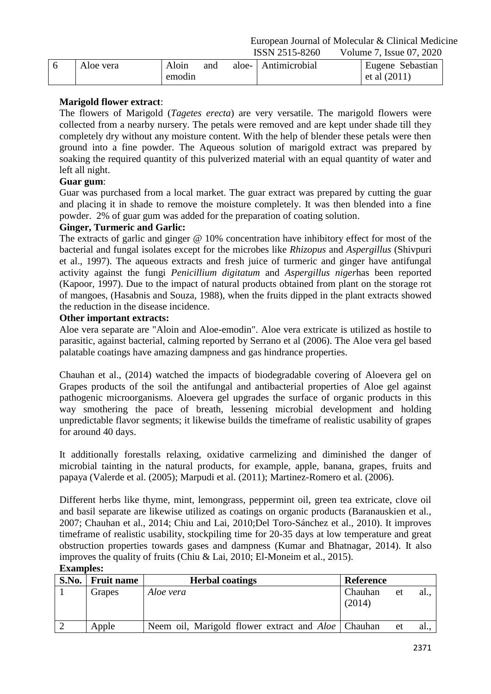|           |        |     |                       | .                |
|-----------|--------|-----|-----------------------|------------------|
| Aloe vera | Aloin  | and | aloe-   Antimicrobial | Eugene Sebastian |
|           | emodin |     |                       | et al $(2011)$   |

# **Marigold flower extract**:

The flowers of Marigold (*Tagetes erecta*) are very versatile. The marigold flowers were collected from a nearby nursery. The petals were removed and are kept under shade till they completely dry without any moisture content. With the help of blender these petals were then ground into a fine powder. The Aqueous solution of marigold extract was prepared by soaking the required quantity of this pulverized material with an equal quantity of water and left all night.

# **Guar gum**:

Guar was purchased from a local market. The guar extract was prepared by cutting the guar and placing it in shade to remove the moisture completely. It was then blended into a fine powder. 2% of guar gum was added for the preparation of coating solution.

# **Ginger, Turmeric and Garlic:**

The extracts of garlic and ginger @ 10% concentration have inhibitory effect for most of the bacterial and fungal isolates except for the microbes like *Rhizopus* and *Aspergillus* (Shivpuri et al., 1997). The aqueous extracts and fresh juice of turmeric and ginger have antifungal activity against the fungi *Penicillium digitatum* and *Aspergillus niger*has been reported (Kapoor, 1997). Due to the impact of natural products obtained from plant on the storage rot of mangoes, (Hasabnis and Souza, 1988), when the fruits dipped in the plant extracts showed the reduction in the disease incidence.

# **Other important extracts:**

Aloe vera separate are "Aloin and Aloe-emodin". Aloe vera extricate is utilized as hostile to parasitic, against bacterial, calming reported by Serrano et al (2006). The Aloe vera gel based palatable coatings have amazing dampness and gas hindrance properties.

Chauhan et al., (2014) watched the impacts of biodegradable covering of Aloevera gel on Grapes products of the soil the antifungal and antibacterial properties of Aloe gel against pathogenic microorganisms. Aloevera gel upgrades the surface of organic products in this way smothering the pace of breath, lessening microbial development and holding unpredictable flavor segments; it likewise builds the timeframe of realistic usability of grapes for around 40 days.

It additionally forestalls relaxing, oxidative carmelizing and diminished the danger of microbial tainting in the natural products, for example, apple, banana, grapes, fruits and papaya (Valerde et al. (2005); Marpudi et al. (2011); Martinez-Romero et al. (2006).

Different herbs like thyme, mint, lemongrass, peppermint oil, green tea extricate, clove oil and basil separate are likewise utilized as coatings on organic products (Baranauskien et al., 2007; Chauhan et al., 2014; Chiu and Lai, 2010;Del Toro-Sánchez et al., 2010). It improves timeframe of realistic usability, stockpiling time for 20-35 days at low temperature and great obstruction properties towards gases and dampness (Kumar and Bhatnagar, 2014). It also improves the quality of fruits (Chiu & Lai, 2010; El-Moneim et al., 2015).

| S.No. | Fruit name | <b>Herbal coatings</b>                                      | <b>Reference</b>  |    |      |
|-------|------------|-------------------------------------------------------------|-------------------|----|------|
|       | Grapes     | Aloe vera                                                   | Chauhan<br>(2014) | et | al   |
|       | Apple      | Neem oil, Marigold flower extract and <i>Aloe</i>   Chauhan |                   | et | al., |

# **Examples:**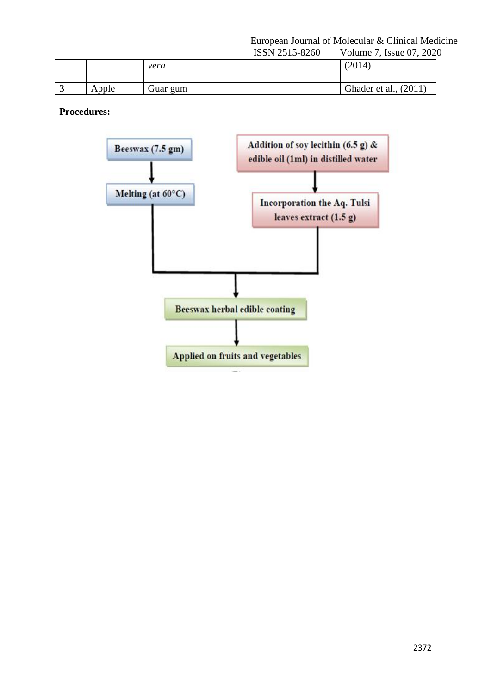## European Journal of Molecular & Clinical Medicine<br>ISSN 2515-8260 Volume 7, Issue 07, 2020 Volume 7, Issue 07, 2020

|       | 100112010 | $\frac{1}{2}$ order $\frac{1}{2}$ . There is $\frac{1}{2}$ |
|-------|-----------|------------------------------------------------------------|
|       | vera      | (2014)                                                     |
| Apple | Guar gum  | Ghader et al., (2011)                                      |
|       |           |                                                            |

**Procedures:**

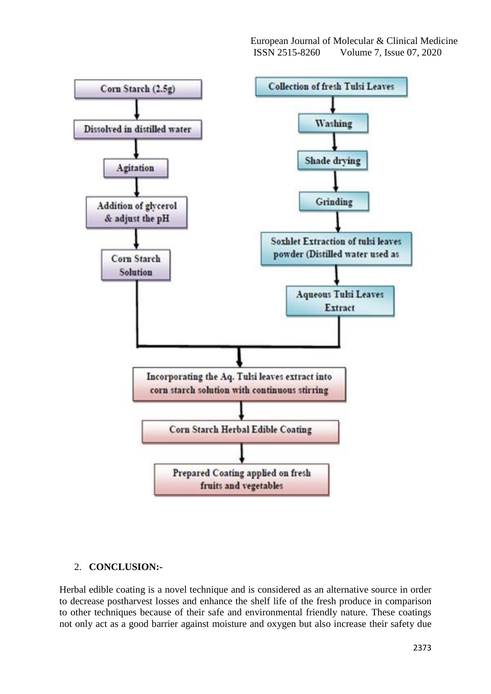

# 2. **CONCLUSION:-**

Herbal edible coating is a novel technique and is considered as an alternative source in order to decrease postharvest losses and enhance the shelf life of the fresh produce in comparison to other techniques because of their safe and environmental friendly nature. These coatings not only act as a good barrier against moisture and oxygen but also increase their safety due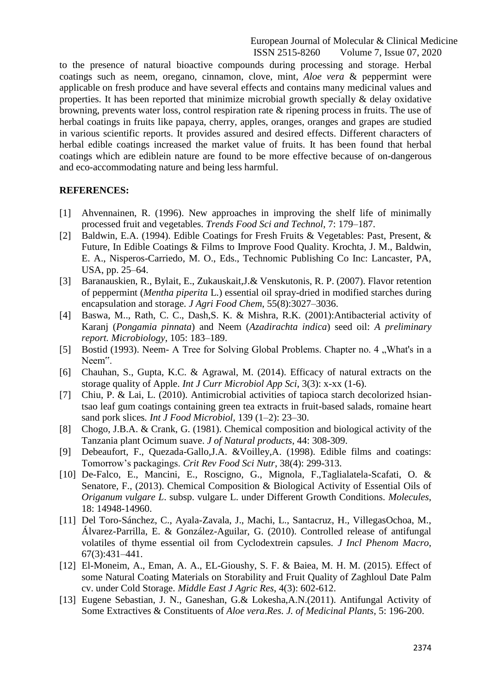to the presence of natural bioactive compounds during processing and storage. Herbal coatings such as neem, oregano, cinnamon, clove, mint, *Aloe vera* & peppermint were applicable on fresh produce and have several effects and contains many medicinal values and properties. It has been reported that minimize microbial growth specially & delay oxidative browning, prevents water loss, control respiration rate & ripening process in fruits. The use of herbal coatings in fruits like papaya, cherry, apples, oranges, oranges and grapes are studied in various scientific reports. It provides assured and desired effects. Different characters of herbal edible coatings increased the market value of fruits. It has been found that herbal coatings which are ediblein nature are found to be more effective because of on-dangerous and eco-accommodating nature and being less harmful.

#### **REFERENCES:**

- [1] Ahvennainen, R. (1996). New approaches in improving the shelf life of minimally processed fruit and vegetables. *Trends Food Sci and Technol*, 7: 179–187.
- [2] Baldwin, E.A. (1994). Edible Coatings for Fresh Fruits & Vegetables: Past, Present, & Future, In Edible Coatings & Films to Improve Food Quality. Krochta, J. M., Baldwin, E. A., Nisperos-Carriedo, M. O., Eds., Technomic Publishing Co Inc: Lancaster, PA, USA, pp. 25–64.
- [3] Baranauskien, R., Bylait, E., Zukauskait,J.& Venskutonis, R. P. (2007). Flavor retention of peppermint (*Mentha piperita* L.) essential oil spray-dried in modified starches during encapsulation and storage. *J Agri Food Chem*, 55(8):3027–3036.
- [4] Baswa, M.., Rath, C. C., Dash,S. K. & Mishra, R.K. (2001):Antibacterial activity of Karanj (*Pongamia pinnata*) and Neem (*Azadirachta indica*) seed oil: *A preliminary report. Microbiology*, 105: 183–189.
- [5] Bostid (1993). Neem- A Tree for Solving Global Problems. Chapter no. 4, What's in a Neem".
- [6] Chauhan, S., Gupta, K.C. & Agrawal, M. (2014). Efficacy of natural extracts on the storage quality of Apple. *Int J Curr Microbiol App Sci*, 3(3): x-xx (1-6).
- [7] Chiu, P. & Lai, L. (2010). Antimicrobial activities of tapioca starch decolorized hsiantsao leaf gum coatings containing green tea extracts in fruit-based salads, romaine heart sand pork slices*. Int J Food Microbiol,* 139 (1–2): 23–30.
- [8] Chogo, J.B.A. & Crank, G. (1981). Chemical composition and biological activity of the Tanzania plant Ocimum suave. *J of Natural products*, 44: 308-309.
- [9] Debeaufort, F., Quezada-Gallo,J.A. &Voilley,A. (1998). Edible films and coatings: Tomorrow's packagings. *Crit Rev Food Sci Nutr*, 38(4): 299-313.
- [10] De-Falco, E., Mancini, E., Roscigno, G., Mignola, F.,Taglialatela-Scafati, O. & Senatore, F., (2013). Chemical Composition & Biological Activity of Essential Oils of *Origanum vulgare L*. subsp. vulgare L. under Different Growth Conditions. *Molecules*, 18: 14948-14960.
- [11] Del Toro-Sánchez, C., Ayala-Zavala, J., Machi, L., Santacruz, H., VillegasOchoa, M., Álvarez-Parrilla, E. & González-Aguilar, G. (2010). Controlled release of antifungal volatiles of thyme essential oil from Cyclodextrein capsules. *J Incl Phenom Macro*, 67(3):431–441.
- [12] El-Moneim, A., Eman, A. A., EL-Gioushy, S. F. & Baiea, M. H. M. (2015). Effect of some Natural Coating Materials on Storability and Fruit Quality of Zaghloul Date Palm cv. under Cold Storage. *Middle East J Agric Res*, 4(3): 602-612.
- [13] Eugene Sebastian, J. N., Ganeshan, G.& Lokesha, A.N. (2011). Antifungal Activity of Some Extractives & Constituents of *Aloe vera*.*Res. J. of Medicinal Plants*, 5: 196-200.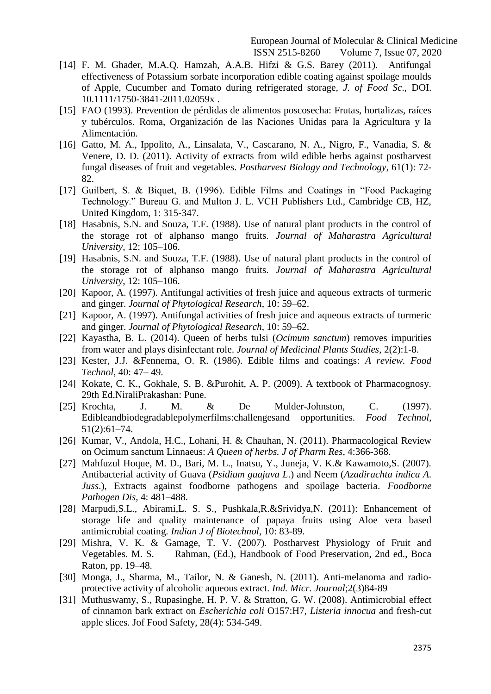- [14] F. M. Ghader, M.A.Q. Hamzah, A.A.B. Hifzi & G.S. Barey (2011). Antifungal effectiveness of Potassium sorbate incorporation edible coating against spoilage moulds of Apple, Cucumber and Tomato during refrigerated storage, *J. of Food Sc*., DOI. 10.1111/1750-3841-2011.02059x .
- [15] FAO (1993). Prevention de pérdidas de alimentos poscosecha: Frutas, hortalizas, raíces y tubérculos. Roma, Organización de las Naciones Unidas para la Agricultura y la Alimentación.
- [16] Gatto, M. A., Ippolito, A., Linsalata, V., Cascarano, N. A., Nigro, F., Vanadia, S. & Venere, D. D. (2011). Activity of extracts from wild edible herbs against postharvest fungal diseases of fruit and vegetables. *Postharvest Biology and Technology*, 61(1): 72- 82.
- [17] Guilbert, S. & Biquet, B. (1996). Edible Films and Coatings in "Food Packaging Technology." Bureau G. and Multon J. L. VCH Publishers Ltd., Cambridge CB, HZ, United Kingdom, 1: 315-347.
- [18] Hasabnis, S.N. and Souza, T.F. (1988). Use of natural plant products in the control of the storage rot of alphanso mango fruits. *Journal of Maharastra Agricultural University*, 12: 105–106.
- [19] Hasabnis, S.N. and Souza, T.F. (1988). Use of natural plant products in the control of the storage rot of alphanso mango fruits. *Journal of Maharastra Agricultural University*, 12: 105–106.
- [20] Kapoor, A. (1997). Antifungal activities of fresh juice and aqueous extracts of turmeric and ginger. *Journal of Phytological Research*, 10: 59–62.
- [21] Kapoor, A. (1997). Antifungal activities of fresh juice and aqueous extracts of turmeric and ginger. *Journal of Phytological Research*, 10: 59–62.
- [22] Kayastha, B. L. (2014). Queen of herbs tulsi (*Ocimum sanctum*) removes impurities from water and plays disinfectant role. *Journal of Medicinal Plants Studies*, 2(2):1-8.
- [23] Kester, J.J. &Fennema, O. R. (1986). Edible films and coatings: *A review. Food Technol*, 40: 47– 49.
- [24] Kokate, C. K., Gokhale, S. B. &Purohit, A. P. (2009). A textbook of Pharmacognosy. 29th Ed.NiraliPrakashan: Pune.
- [25] Krochta, J. M. & De Mulder-Johnston, C. (1997). Edibleandbiodegradablepolymerfilms:challengesand opportunities. *Food Technol*, 51(2):61–74.
- [26] Kumar, V., Andola, H.C., Lohani, H. & Chauhan, N. (2011). Pharmacological Review on Ocimum sanctum Linnaeus: *A Queen of herbs. J of Pharm Res*, 4:366-368.
- [27] Mahfuzul Hoque, M. D., Bari, M. L., Inatsu, Y., Juneja, V. K.& Kawamoto,S. (2007). Antibacterial activity of Guava (*Psidium guajava L*.) and Neem (*Azadirachta indica A. Juss*.), Extracts against foodborne pathogens and spoilage bacteria. *Foodborne Pathogen Dis*, 4: 481–488.
- [28] Marpudi,S.L., Abirami,L. S. S., Pushkala,R.&Srividya,N. (2011): Enhancement of storage life and quality maintenance of papaya fruits using Aloe vera based antimicrobial coating. *Indian J of Biotechnol*, 10: 83-89.
- [29] Mishra, V. K. & Gamage, T. V. (2007). Postharvest Physiology of Fruit and Vegetables. M. S. Rahman, (Ed.), Handbook of Food Preservation, 2nd ed., Boca Raton, pp. 19–48.
- [30] Monga, J., Sharma, M., Tailor, N. & Ganesh, N. (2011). Anti-melanoma and radioprotective activity of alcoholic aqueous extract. *Ind. Micr. Journal*;2(3)84-89
- [31] Muthuswamy, S., Rupasinghe, H. P. V. & Stratton, G. W. (2008). Antimicrobial effect of cinnamon bark extract on *Escherichia coli* O157:H7, *Listeria innocua* and fresh-cut apple slices. Jof Food Safety, 28(4): 534-549.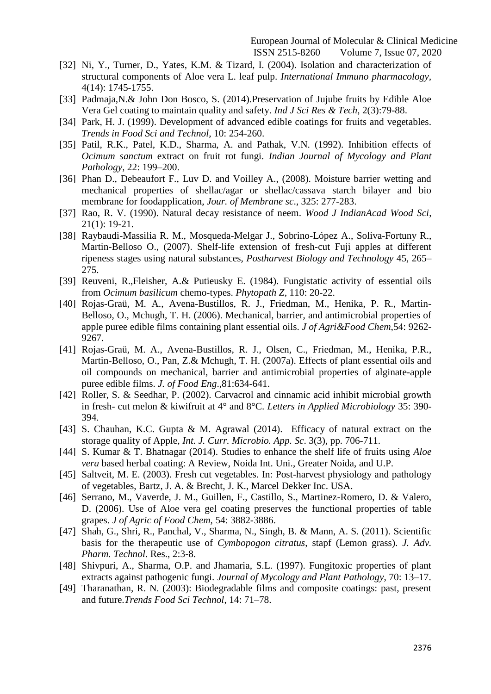- [32] Ni, Y., Turner, D., Yates, K.M. & Tizard, I. (2004). Isolation and characterization of structural components of Aloe vera L. leaf pulp. *International Immuno pharmacology,* 4(14): 1745-1755.
- [33] Padmaja, N. & John Don Bosco, S. (2014). Preservation of Jujube fruits by Edible Aloe Vera Gel coating to maintain quality and safety. *Ind J Sci Res & Tech*, 2(3):79-88.
- [34] Park, H. J. (1999). Development of advanced edible coatings for fruits and vegetables. *Trends in Food Sci and Technol*, 10: 254-260.
- [35] Patil, R.K., Patel, K.D., Sharma, A. and Pathak, V.N. (1992). Inhibition effects of *Ocimum sanctum* extract on fruit rot fungi. *Indian Journal of Mycology and Plant Pathology*, 22: 199–200.
- [36] Phan D., Debeaufort F., Luv D. and Voilley A., (2008). Moisture barrier wetting and mechanical properties of shellac/agar or shellac/cassava starch bilayer and bio membrane for foodapplication, *Jour. of Membrane sc*., 325: 277-283.
- [37] Rao, R. V. (1990). Natural decay resistance of neem. *Wood J IndianAcad Wood Sci*, 21(1): 19-21.
- [38] Raybaudi-Massilia R. M., Mosqueda-Melgar J., Sobrino-López A., Soliva-Fortuny R., Martin-Belloso O., (2007). Shelf-life extension of fresh-cut Fuji apples at different ripeness stages using natural substances, *Postharvest Biology and Technology* 45, 265– 275.
- [39] Reuveni, R.,Fleisher, A.& Putieusky E. (1984). Fungistatic activity of essential oils from *Ocimum basilicum* chemo-types. *Phytopath Z*, 110: 20-22.
- [40] Rojas-Graü, M. A., Avena-Bustillos, R. J., Friedman, M., Henika, P. R., Martin-Belloso, O., Mchugh, T. H. (2006). Mechanical, barrier, and antimicrobial properties of apple puree edible films containing plant essential oils. *J of Agri&Food Chem*,54: 9262- 9267.
- [41] Rojas-Graü, M. A., Avena-Bustillos, R. J., Olsen, C., Friedman, M., Henika, P.R., Martin-Belloso, O., Pan, Z.& Mchugh, T. H. (2007a). Effects of plant essential oils and oil compounds on mechanical, barrier and antimicrobial properties of alginate-apple puree edible films. *J. of Food Eng*.,81:634-641.
- [42] Roller, S. & Seedhar, P. (2002). Carvacrol and cinnamic acid inhibit microbial growth in fresh- cut melon & kiwifruit at 4° and 8°C. *Letters in Applied Microbiology* 35: 390- 394.
- [43] S. Chauhan, K.C. Gupta & M. Agrawal (2014). Efficacy of natural extract on the storage quality of Apple, *Int. J. Curr. Microbio. App. Sc*. 3(3), pp. 706-711.
- [44] S. Kumar & T. Bhatnagar (2014). Studies to enhance the shelf life of fruits using *Aloe vera* based herbal coating: A Review, Noida Int. Uni., Greater Noida, and U.P.
- [45] Saltveit, M. E. (2003). Fresh cut vegetables. In: Post-harvest physiology and pathology of vegetables, Bartz, J. A. & Brecht, J. K., Marcel Dekker Inc. USA.
- [46] Serrano, M., Vaverde, J. M., Guillen, F., Castillo, S., Martinez-Romero, D. & Valero, D. (2006). Use of Aloe vera gel coating preserves the functional properties of table grapes. *J of Agric of Food Chem,* 54: 3882-3886.
- [47] Shah, G., Shri, R., Panchal, V., Sharma, N., Singh, B. & Mann, A. S. (2011). Scientific basis for the therapeutic use of *Cymbopogon citratus*, stapf (Lemon grass). *J. Adv. Pharm. Technol*. Res., 2:3-8.
- [48] Shivpuri, A., Sharma, O.P. and Jhamaria, S.L. (1997). Fungitoxic properties of plant extracts against pathogenic fungi. *Journal of Mycology and Plant Pathology*, 70: 13–17.
- [49] Tharanathan, R. N. (2003): Biodegradable films and composite coatings: past, present and future.*Trends Food Sci Technol*, 14: 71–78.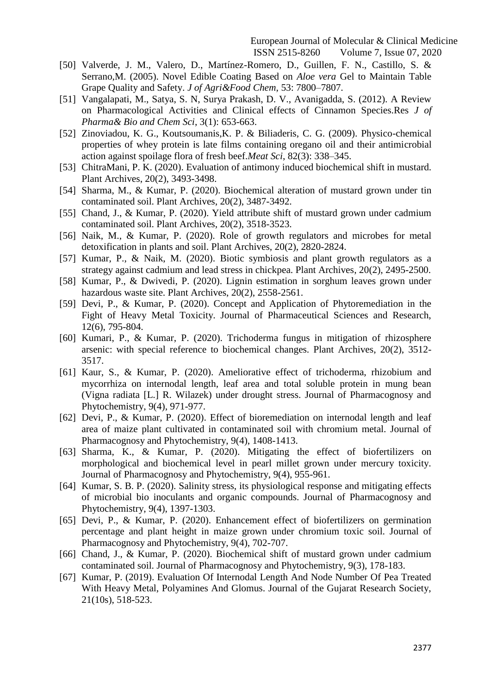- [50] Valverde, J. M., Valero, D., Martínez-Romero, D., Guillen, F. N., Castillo, S. & Serrano,M. (2005). Novel Edible Coating Based on *Aloe vera* Gel to Maintain Table Grape Quality and Safety. *J of Agri&Food Chem*, 53: 7800–7807.
- [51] Vangalapati, M., Satya, S. N, Surya Prakash, D. V., Avanigadda, S. (2012). A Review on Pharmacological Activities and Clinical effects of Cinnamon Species.Res *J of Pharma& Bio and Chem Sci*, 3(1): 653-663.
- [52] Zinoviadou, K. G., Koutsoumanis,K. P. & Biliaderis, C. G. (2009). Physico-chemical properties of whey protein is late films containing oregano oil and their antimicrobial action against spoilage flora of fresh beef.*Meat Sci*, 82(3): 338–345.
- [53] ChitraMani, P. K. (2020). Evaluation of antimony induced biochemical shift in mustard. Plant Archives, 20(2), 3493-3498.
- [54] Sharma, M., & Kumar, P. (2020). Biochemical alteration of mustard grown under tin contaminated soil. Plant Archives, 20(2), 3487-3492.
- [55] Chand, J., & Kumar, P. (2020). Yield attribute shift of mustard grown under cadmium contaminated soil. Plant Archives, 20(2), 3518-3523.
- [56] Naik, M., & Kumar, P. (2020). Role of growth regulators and microbes for metal detoxification in plants and soil. Plant Archives, 20(2), 2820-2824.
- [57] Kumar, P., & Naik, M. (2020). Biotic symbiosis and plant growth regulators as a strategy against cadmium and lead stress in chickpea. Plant Archives, 20(2), 2495-2500.
- [58] Kumar, P., & Dwivedi, P. (2020). Lignin estimation in sorghum leaves grown under hazardous waste site. Plant Archives, 20(2), 2558-2561.
- [59] Devi, P., & Kumar, P. (2020). Concept and Application of Phytoremediation in the Fight of Heavy Metal Toxicity. Journal of Pharmaceutical Sciences and Research, 12(6), 795-804.
- [60] Kumari, P., & Kumar, P. (2020). Trichoderma fungus in mitigation of rhizosphere arsenic: with special reference to biochemical changes. Plant Archives, 20(2), 3512- 3517.
- [61] Kaur, S., & Kumar, P. (2020). Ameliorative effect of trichoderma, rhizobium and mycorrhiza on internodal length, leaf area and total soluble protein in mung bean (Vigna radiata [L.] R. Wilazek) under drought stress. Journal of Pharmacognosy and Phytochemistry, 9(4), 971-977.
- [62] Devi, P., & Kumar, P. (2020). Effect of bioremediation on internodal length and leaf area of maize plant cultivated in contaminated soil with chromium metal. Journal of Pharmacognosy and Phytochemistry, 9(4), 1408-1413.
- [63] Sharma, K., & Kumar, P. (2020). Mitigating the effect of biofertilizers on morphological and biochemical level in pearl millet grown under mercury toxicity. Journal of Pharmacognosy and Phytochemistry, 9(4), 955-961.
- [64] Kumar, S. B. P. (2020). Salinity stress, its physiological response and mitigating effects of microbial bio inoculants and organic compounds. Journal of Pharmacognosy and Phytochemistry, 9(4), 1397-1303.
- [65] Devi, P., & Kumar, P. (2020). Enhancement effect of biofertilizers on germination percentage and plant height in maize grown under chromium toxic soil. Journal of Pharmacognosy and Phytochemistry, 9(4), 702-707.
- [66] Chand, J., & Kumar, P. (2020). Biochemical shift of mustard grown under cadmium contaminated soil. Journal of Pharmacognosy and Phytochemistry, 9(3), 178-183.
- [67] Kumar, P. (2019). Evaluation Of Internodal Length And Node Number Of Pea Treated With Heavy Metal, Polyamines And Glomus. Journal of the Gujarat Research Society, 21(10s), 518-523.